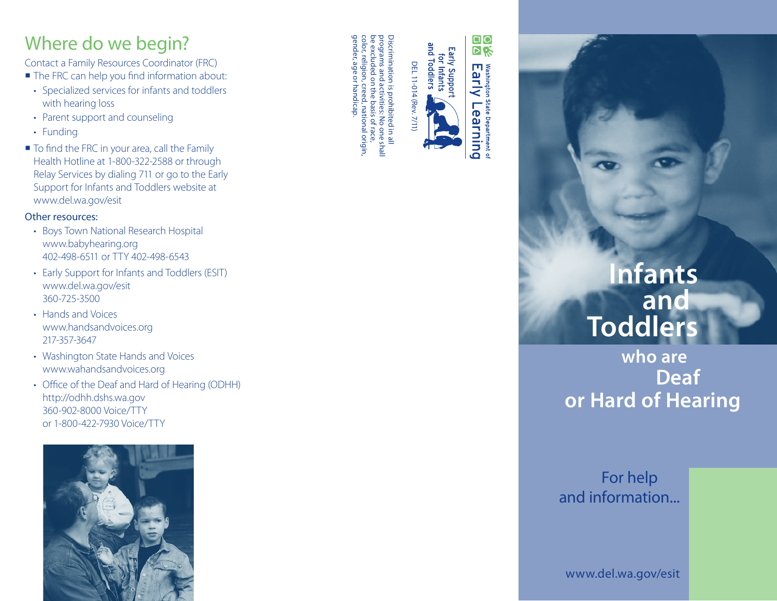# Where do we begin?

Contact a Family Resources Coordinator (FRC)

- The FRC can help you find information about:
- Specialized services for infants and toddlers with hearing loss
- Parent support and counseling
- Funding
- To find the FRC in your area, call the Family Health Hotline at 1-800-322-2588 or through Relay Services by dialing 711 or go to the Early Support for Infants and Toddlers website at www.del.wa.gov/esit

#### Other resources:

- Boys Town National Research Hospital www.babyhearing.org 402-498-6511 or TTY 402-498-6543
- Early Support for Infants and Toddlers (ESIT) www.del.wa.gov/esit 360-725-3500
- Hands and Voices www.handsandvoices.org 217-357-3647
- Washington State Hands and Voices www.wahandsandvoices.org
- Office of the Deaf and Hard of Hearing (ODHH) http://odhh.dshs.wa.gov 360-902-8000 Voice/TTY or 1-800-422-7930 Voice/TTY



Discrimination is prohibited in all<br>programs and activities: No one shal<br>be excluded on the basis of race, be excluded on the basis of race, programs and activities: No one shall Discrimination is prohibited in all Early Support<br>for Infants<br>and Toddlers DEL 11-014 (Rev. 7/11 DEL 11-014 (Rev. 7/11)

gender, age or handicap.

handicap

gender, age or color, religion

color, religion, creed, national origin,

creed, national origin



# **Infants Toddlers and**

# **who are Deaf or Hard of Hearing**

## and information... For help

www.del.wa.gov/esit